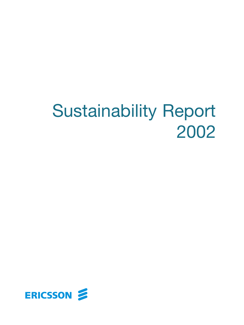# Sustainability Report 2002

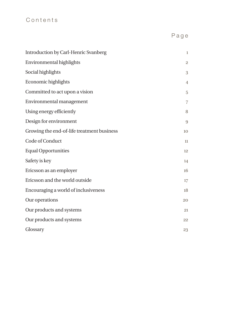### Contents

Page

| Introduction by Carl-Henric Svanberg       | $\mathbf{1}$   |
|--------------------------------------------|----------------|
| Environmental highlights                   | $\overline{2}$ |
| Social highlights                          | 3              |
| Economic highlights                        | $\overline{4}$ |
| Committed to act upon a vision             | 5              |
| Environmental management                   | $\overline{7}$ |
| Using energy efficiently                   | 8              |
| Design for environment                     | 9              |
| Growing the end-of-life treatment business | 10             |
| Code of Conduct                            | 11             |
| <b>Equal Opportunities</b>                 | 12             |
| Safety is key                              | 14             |
| Ericsson as an employer                    | 16             |
| Ericsson and the world outside             | 17             |
| Encouraging a world of inclusiveness       | 18             |
| Our operations                             | 20             |
| Our products and systems                   | 21             |
| Our products and systems                   | 22             |
| Glossary                                   | 23             |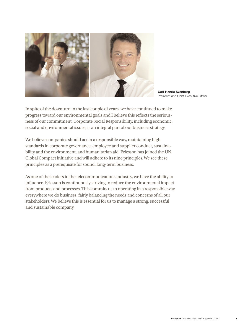

**Carl-Henric Svanberg** President and Chief Executive Officer

In spite of the downturn in the last couple of years, we have continued to make progress toward our environmental goals and I believe this reflects the seriousness of our commitment. Corporate Social Responsibility, including economic, social and environmental issues, is an integral part of our business strategy.

We believe companies should act in a responsible way, maintaining high standards in corporate governance, employee and supplier conduct, sustainability and the environment, and humanitarian aid. Ericsson has joined the UN Global Compact initiative and will adhere to its nine principles. We see these principles as a prerequisite for sound, long-term business.

As one of the leaders in the telecommunications industry, we have the ability to influence. Ericsson is continuously striving to reduce the environmental impact from products and processes. This commits us to operating in a responsible way everywhere we do business, fairly balancing the needs and concerns of all our stakeholders. We believe this is essential for us to manage a strong, successful and sustainable company.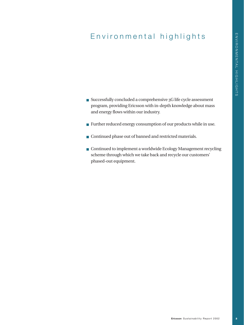# Environmental highlights

- Successfully concluded a comprehensive 3G life cycle assessment program, providing Ericsson with in-depth knowledge about mass and energy flows within our industry.
- Further reduced energy consumption of our products while in use.
- **Continued phase out of banned and restricted materials.**
- Continued to implement a worldwide Ecology Management recycling scheme through which we take back and recycle our customers' phased-out equipment.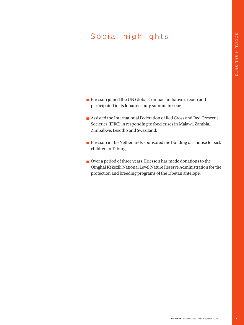# Social highlights

- **Exicoson** joined the UN Global Compact initiative in 2000 and participated in its Johannesburg summit in 2002
- Assisted the International Federation of Red Cross and Red Crescent Societies (IFRC) in responding to food crises in Malawi, Zambia, Zimbabwe, Lesotho and Swaziland.
- $\blacksquare$  Ericsson in the Netherlands sponsored the building of a house for sick children in Tilburg.
- Over a period of three years, Ericsson has made donations to the Qinghai Kekexili National Level Nature Reserve Administration for the protection and breeding programs of the Tibetan antelope.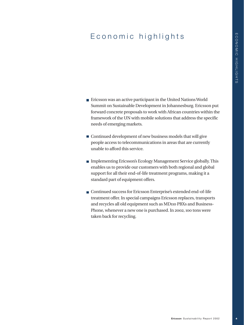# Economic highlights

- $\blacksquare$  Ericsson was an active participant in the United Nations World Summit on Sustainable Development in Johannesburg. Ericsson put forward concrete proposals to work with African countries within the framework of the UN with mobile solutions that address the specific needs of emerging markets.
- $\blacksquare$  Continued development of new business models that will give people access to telecommunications in areas that are currently unable to afford this service.
- Implementing Ericsson's Ecology Management Service globally. This enables us to provide our customers with both regional and global support for all their end-of-life treatment programs, making it a standard part of equipment offers.
- Continued success for Ericsson Enterprise's extended end-of-life treatment offer. In special campaigns Ericsson replaces, transports and recycles all old equipment such as MD110 PBXs and Business-Phone, whenever a new one is purchased. In 2002, 100 tons were taken back for recycling.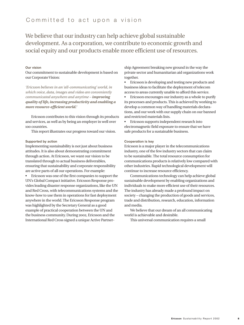We believe that our industry can help achieve global sustainable development. As a corporation, we contribute to economic growth and social equity and our products enable more efficient use of resources.

#### **Our vision**

Our commitment to sustainable development is based on our Corporate Vision:

*'Ericsson believes in an 'all-communicating' world, in which voice, data, images and video are conveniently communicated anywhere and anytime – improving quality of life, increasing productivity and enabling a more resource-efficient world.'*

Ericsson contributes to this vision through its products and services, as well as by being an employer in well over 100 countries.

This report illustrates our progress toward our vision.

#### **Supported by action**

Implementing sustainability is not just about business attitudes. It is also about demonstrating commitment through action. At Ericsson, we want our vision to be translated through to actual business deliverables, ensuring that sustainability and corporate responsibility are active parts of all our operations. For example:

• Ericsson was one of the first companies to support the UN's Global Compact initiative. Ericsson Response provides leading disaster response organizations, like the UN and Red Cross, with telecommunications systems and the know-how to use them in operations for fast deployment anywhere in the world. The Ericsson Response program was highlighted by the Secretary General as a good example of practical cooperation between the UN and the business community. During 2002, Ericsson and the International Red Cross signed a unique Active Partner-

ship Agreement breaking new ground in the way the private sector and humanitarian aid organizations work together.

• Ericsson is developing and testing new products and business ideas to facilitate the deployment of telecom access to areas currently unable to afford this service.

• Ericsson encourages our industry as a whole to purify its processes and products. This is achieved by working to develop a common way of handling materials declarations, and our work with our supply chain on our banned and restricted materials lists.

• Ericsson supports independent research into electromagnetic field exposure to ensure that we have safe products for a sustainable business.

#### **Cooperation is key**

Ericsson is a major player in the telecommunications industry, one of the few industry sectors that can claim to be sustainable. The total resource consumption for communications products is relatively low compared with other industries. Rapid technological development will continue to increase resource efficiency.

Communications technology can help achieve global sustainable development by enabling organizations and individuals to make more efficient use of their resources. The industry has already made a profound impact on society – changing the production of goods and services, trade and distribution, research, education, information and media.

We believe that our dream of an all communicating world is achievable and desirable.

This universal communication requires a small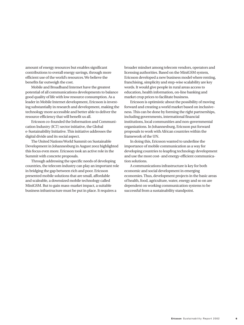amount of energy resources but enables significant contributions to overall energy savings, through more efficient use of the world's resources. We believe the benefits far outweigh the cost.

Mobile and Broadband Internet have the greatest potential of all communications developments to balance good quality of life with low resource consumption. As a leader in Mobile Internet development, Ericsson is investing substantially in research and development, making the technology more accessible and better able to deliver the resource efficiency that will benefit us all.

Ericsson co-founded the Information and Communication Industry (ICT) sector initiative, the Global e-Sustainability Initiative. This initiative addresses the digital divide and its social aspect.

The United Nations World Summit on Sustainable Development in Johannesburg in August 2002 highlighted this focus even more. Ericsson took an active role in the Summit with concrete proposals.

Through addressing the specific needs of developing countries, the telecom industry can play an important role in bridging the gap between rich and poor. Ericsson presented mobile solutions that are small, affordable and scaleable, a downsized mobile technology called MiniGSM. But to gain mass-market impact, a suitable business infrastructure must be put in place. It requires a

broader mindset among telecom vendors, operators and licensing authorities. Based on the MiniGSM system, Ericsson developed a new business model where renting, franchising, simplicity and step-wise scalability are key words. It would give people in rural areas access to education, health information, on-line banking and market crop prices to facilitate business.

Ericsson is optimistic about the possibility of moving forward and creating a world market based on inclusiveness. This can be done by forming the right partnerships, including governments, international financial institutions, local communities and non-governmental organizations. In Johannesburg, Ericsson put forward proposals to work with African countries within the framework of the UN.

In doing this, Ericsson wanted to underline the importance of mobile communication as a way for developing countries to leapfrog technology development and use the most cost- and energy-efficient communication solutions.

A communications infrastructure is key for both economic and social development in emerging economies. Thus, development projects in the basic areas of health, food, agriculture, water, energy and so on are dependent on working communication systems to be successful from a sustainability standpoint.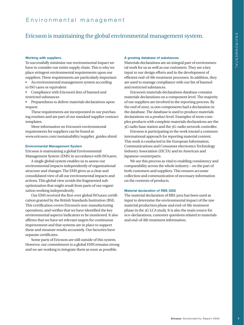### Ericsson is maintaining the global environmental management system.

#### **Working with suppliers**

To successfully minimize our environmental impact we have to consider our entire supply chain. This is why we place stringent environmental requirements upon our suppliers. Three requirements are particularly important:

• An environmental management system according to ISO 14001 or equivalent

• Compliance with Ericsson's lists of banned and restricted substances

• Preparedness to deliver materials declarations upon request

These requirements are incorporated in our purchasing routines and are part of our standard supplier contract templates.

More information on Ericsson's environmental requirements for suppliers can be found at: www.ericsson.com/sustainability/supplier\_guides.shtml

#### **Environmental Management System**

Ericsson is maintaining a global Environmental Management System (EMS) in accordance with ISO14001.

A single global system enables us to assess our environmental impacts independently of organizational structure and changes. The EMS gives us a clear and consolidated view of all our environmental impacts and actions. This global view avoids the fragmented suboptimization that might result from parts of our organization working independently.

Our EMS received the first-ever global ISO14001 certification granted by the British Standards Institution (BSI). This certification covers Ericsson's non-manufacturing operations, and verifies that we have identified the key environmental aspects/indicators to be monitored. It also affirms that we have set relevant targets for continuous improvement and that systems are in place to support these and measure results accurately. Our factories have separate certificates.

Some parts of Ericsson are still outside of this system. However, our commitment to a global EMS remains strong and we are working to integrate them as soon as possible.

#### **A growing database of substances**

Materials declarations are an integral part of environmental work for us as well as our customers. They are a key input to our design efforts and in the development of efficient end-of-life treatment processes. In addition, they are used to manage compliance with our list of banned and restricted substances.

Ericsson's materials declarations database contains materials declarations on a component level. The majority of our suppliers are involved in the reporting process. By the end of 2002, 12,000 components had a declaration in the database. The database is used to produce materials declarations on a product level. Examples of more complex products with complete materials declarations are the 3G radio base station and the 3G-radio network controller.

Ericsson is participating in the work toward a common international approach for reporting material content. This work is conducted in the European Information, Communications and Consumer electronics Technology Industry Association (EICTA) and its American and Japanese counterparts.

We see this process as vital to enabling consistency and comparability across the whole industry – on the part of both customers and suppliers. This ensures accurate collection and communication of necessary information on the contents of products.

#### **Material declaration of RBS 3202**

The material declaration of RBS 3202 has been used as input to determine the environmental impact of the raw material production phase and end-of-life treatment phase in the 3G LCA study. It is also the main source for eco-declarations, customer questions related to materials and end-of-life treatment information.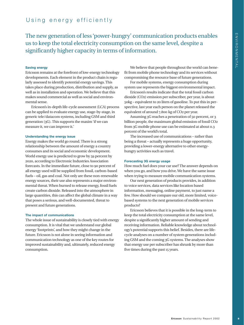### Using energy efficiently

The new generation of less 'power-hungry' communication products enables us to keep the total electricity consumption on the same level, despite a significantly higher capacity in terms of information.

#### **Saving energy**

Ericsson remains at the forefront of low-energy technology developments. Each element in the product chain is regularly assessed to identify potential energy savings. This takes place during production, distribution and supply, as well as in installation and operation. We believe that this makes sound commercial as well as social and environmental sense.

Ericsson's in-depth life-cycle assessment (LCA) process can be applied to evaluate energy use, stage-by-stage, in generic tele/datacom systems, including GSM and third generation (3G). This supports the maxim 'if we can measure it, we can improve it.'

#### **Understanding the energy issue**

Energy makes the world go round. There is a strong relationship between the amount of energy a country consumes and its social and economic development. World energy use is predicted to grow by 59 percent by 2020, according to Electronic Industries Association forecasts. In the immediate future, close to 90 percent of all energy used will be supplied from fossil, carbon-based fuels – oil, gas and coal. Not only are these non-renewable energy sources, their use also represents a major environmental threat. When burned to release energy, fossil fuels create carbon dioxide. Released into the atmosphere in large quantities, this can affect the global climate in a way that poses a serious, and well-documented, threat to present and future generations.

#### **The impact of communications**

The whole issue of sustainability is closely tied with energy consumption. It is vital that we understand our global energy 'footprints', and how they might change in the future. Ericsson is not alone in seeing information and communication technology as one of the key routes for improved sustainability and, ultimately, reduced energy consumption.

We believe that people throughout the world can benefit from mobile phone technology and its services without compromising the resource base of future generations.

For mobile systems, energy consumption during system use represents the biggest environmental impact.

Ericsson's results indicate that the total fossil carbon dioxide (CO2) emission per subscriber, per year, is about 50kg – equivalent to 20 liters of gasoline. To put this in perspective, last year each person on the planet released the equivalent of around 7,800 kg of CO2 per year.

Assuming 3G reaches a penetration of 50 percent, or 3 billion people, the maximum global emission of fossil CO2 from 3G mobile phone use can be estimated at about 0.3 percent of the world's total.

The increased use of communications – rather than being a threat – actually represents a huge opportunity, providing a lower-energy alternative to other energyhungry activities such as travel.

#### **Forecasting 3G energy usage**

How much fuel does your car use? The answer depends on when you go, and how you drive. We have the same issue when trying to measure mobile communication systems.

Our next generation of products provides, in addition to voice services, data services like location based information, messaging, online payment, to just name a few. How should we compare our old, more limited, voicebased systems to the next generation of mobile services products?

Ericsson believes that it is possible in the long-term to keep the total electricity consumption at the same level, despite a significantly higher amount of sending and receiving information. Reliable knowledge about technology's potential supports this belief. Besides, there are lifecycle analyses on a number of system generations including GSM and the coming 3G systems. The analyses show that energy use per subscriber has shrunk by more than five times during the past 15 years.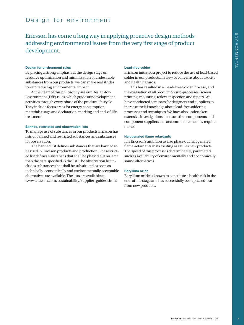### Design for environment

Ericsson has come a long way in applying proactive design methods addressing environmental issues from the very first stage of product development.

#### **Design for environment rules**

By placing a strong emphasis at the design stage on resource optimization and minimization of undesirable substances from our products, we can make real strides toward reducing environmental impact.

At the heart of this philosophy are our Design-for-Environment (DfE) rules, which guide our development activities through every phase of the product life-cycle. They include focus areas for energy consumption, materials usage and declaration, marking and end-of-life treatment.

#### **Banned, restricted and observation lists**

To manage use of substances in our products Ericsson has lists of banned and restricted substances and substances for observation.

The banned list defines substances that are banned to be used in Ericsson products and production. The restricted list defines substances that shall be phased out no later than the date specified in the list. The observation list includes substances that shall be substituted as soon as technically, economically and environmentally acceptable alternatives are available. The lists are available at: www.ericsson.com/sustainability/supplier\_guides.shtml

#### **Lead-free solder**

Ericsson initiated a project to reduce the use of lead-based solder in our products, in view of concerns about toxicity and health hazards.

This has resulted in a 'Lead-Free Solder Process', and the evaluation of all production sub-processes (screen printing, mounting, reflow, inspection and repair). We have conducted seminars for designers and suppliers to increase their knowledge about lead-free soldering processes and techniques. We have also undertaken extensive investigations to ensure that components and component suppliers can accommodate the new requirements.

#### **Halogenated flame retardants**

It is Ericsson's ambition to also phase out halogenated flame-retardants in its existing as well as new products. The speed of this process is determined by parameters such as availability of environmentally and economically sound alternatives.

#### **Beryllium oxide**

Beryllium oxide is known to constitute a health risk in the end-of-life stage and has successfully been phased-out from new products.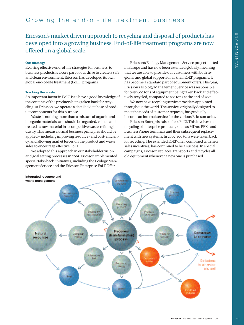### Growing the end-of-life treatment business

### Ericsson's market driven approach to recycling and disposal of products has developed into a growing business. End-of-life treatment programs are now offered on a global scale.

#### **Our strategy**

Evolving effective end-of-life strategies for business-tobusiness products is a core part of our drive to create a safe and clean environment. Ericsson has developed its own global end-of-life treatment (EoLT) programs.

#### **Tracking the waste**

An important factor in EoLT is to have a good knowledge of the contents of the products being taken back for recycling. At Ericsson, we operate a detailed database of product components for this purpose.

Waste is nothing more than a mixture of organic and inorganic materials, and should be regarded, valued and treated as raw material in a competitive waste-refining industry. This means normal business principles should be applied – including improving resource- and cost-efficiency, and allowing market forces on the product and waste sides to encourage effective EoLT.

We adopted this approach in our stakeholder vision and goal setting processes in 2001. Ericsson implemented special 'take-back' initiatives, including the Ecology Management Service and the Ericsson Enterprise EoLT Offer.

Ericsson's Ecology Management Service project started in Europe and has now been extended globally, meaning that we are able to provide our customers with both regional and global support for all their EoLT programs. It has become a standard part of equipment offers. This year, Ericsson's Ecology Management Service was responsible for over 600 tons of equipment being taken back and effectively recycled, compared to 180 tons at the end of 2001.

We now have recycling service providers appointed throughout the world. The service, originally designed to meet the needs of customer requests, has gradually become an internal service for the various Ericsson units.

Ericsson Enterprise also offers EoLT. This involves the recycling of enterprise products, such as MD110 PBXs and BusinessPhone terminals and their subsequent replacement with new systems. In 2002, 100 tons were taken back for recycling. The extended EoLT offer, combined with new sales incentives, has continued to be a success. In special campaigns, Ericsson replaces, transports and recycles all old equipment whenever a new one is purchased.

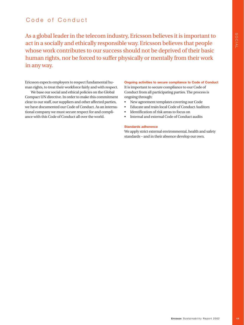### Code of Conduct

As a global leader in the telecom industry, Ericsson believes it is important to act in a socially and ethically responsible way. Ericsson believes that people whose work contributes to our success should not be deprived of their basic human rights, nor be forced to suffer physically or mentally from their work in any way.

Ericsson expects employers to respect fundamental human rights, to treat their workforce fairly and with respect.

We base our social and ethical policies on the Global Compact UN directive. In order to make this commitment clear to our staff, our suppliers and other affected parties, we have documented our Code of Conduct. As an international company we must secure respect for and compliance with this Code of Conduct all over the world.

**Ongoing activities to secure compliance to Code of Conduct** It is important to secure compliance to our Code of Conduct from all participating parties. The process is ongoing through:

- New agreement templates covering our Code
- Educate and train local Code of Conduct Auditors
- Identification of risk areas to focus on
- Internal and external Code of Conduct audits

#### **Standards adherence**

We apply strict external environmental, health and safety standards – and in their absence develop our own.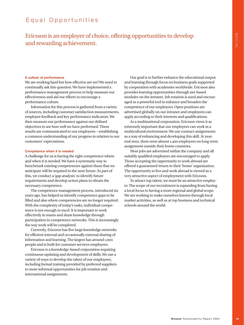### Equal Opportunities

### Ericsson is an employer of choice, offering opportunities to develop and rewarding achievement.

#### **A culture of performance**

We are working hard but how effective are we? We need to continually ask this question. We have implemented a performance management process to help measure our effectiveness and aid our efforts to encourage a performance culture.

Information for this process is gathered from a variety of sources, including customer satisfaction measurements, employee feedback and key performance indicators. We then measure our performance against our defined objectives to see how well we have performed. These results are communicated to our employees – establishing a common understanding of our progress in relation to our customers' expectations.

#### **Competence when it is needed**

A challenge for us is having the right competence where and when it is needed. We have a systematic way to benchmark existing competencies against those that we anticipate will be required in the near future. As part of this, we conduct a 'gap analysis' to identify future requirements and develop action plans to obtain the necessary competence.

The competence management process, introduced six years ago, has helped us identify competence gaps to be filled and also where competencies are no longer required. With the complexity of today's tasks, individual competence is not enough to excel. It is important to work effectively in teams and share knowledge through participation in competence networks. This is increasingly the way work will be completed.

Currently, Ericsson has five large knowledge networks for efficient internal and occasionally external sharing of information and learning. The largest has around 1,000 people and is built for customer services employees.

Ericsson is a knowledge-based corporation requiring continuous updating and development of skills. We use a variety of ways to develop the talent of our employees, including formal training provided by preferred suppliers to more informal opportunities for job rotation and international assignments.

Our goal is to further enhance the educational output and learning through focus on business goals supported by cooperation with academies worldwide. Ericsson also provides learning opportunities through net-based modules on the intranet. Job rotation is used and encouraged as a powerful tool to enhance and broaden the competence of our employees. Open positions are advertised globally on our intranet and employees can apply according to their interests and qualifications.

As a multinational corporation, Ericsson views it as extremely important that our employees can work in a multicultural environment. We use contract assignments as a way of enhancing and developing this skill. At yearend 2002, there were almost 1,400 employees on long-term assignment outside their home countries.

Most jobs are advertised within the company and all suitably qualified employees are encouraged to apply. Those accepting the opportunity to work abroad are offered a guaranteed return to their 'home' organization. The opportunity to live and work abroad is viewed as a very attractive aspect of employment with Ericsson.

To attract top talent, we must be an attractive employer. The scope of our recruitment is expanding from having a local focus to having a more regional and global scope. We are working to make ourselves known through local market activities, as well as at top business and technical schools around the world.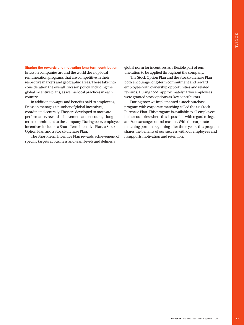#### **Sharing the rewards and motivating long-term contribution**

Ericsson companies around the world develop local remuneration programs that are competitive in their respective markets and geographic areas. These take into consideration the overall Ericsson policy, including the global incentive plans, as well as local practices in each country.

In addition to wages and benefits paid to employees, Ericsson manages a number of global incentives, coordinated centrally. They are developed to motivate performance, reward achievement and encourage longterm commitment to the company. During 2002, employee incentives included a Short-Term Incentive Plan, a Stock Option Plan and a Stock Purchase Plan.

The Short-Term Incentive Plan rewards achievement of specific targets at business and team levels and defines a

global norm for incentives as a flexible part of rem uneration to be applied throughout the company.

The Stock Option Plan and the Stock Purchase Plan both encourage long-term commitment and reward employees with ownership opportunities and related rewards. During 2002, approximately 12,700 employees were granted stock options as 'key contributors.'

**Example 10**<br> **Example 10**<br> **Example 20**<br> **Example 2014**<br> **Example 2020**<br> **Example 2020**<br> **Example 2020**<br> **Example 2020**<br> **Example 2020**<br> **Example 2020**<br> **Example 2020**<br> **Example 2020**<br> **Example 2020**<br> **Example 2020**<br> **Exa** During 2002 we implemented a stock purchase program with corporate matching called the 1+1 Stock Purchase Plan. This program is available to all employees in the countries where this is possible with regard to legal and/or exchange control reasons. With the corporate matching portion beginning after three years, this program shares the benefits of our success with our employees and it supports motivation and retention.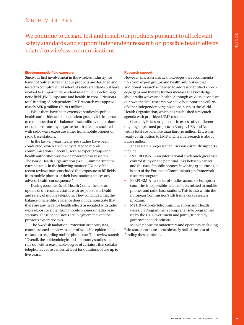### Safety is key

We continue to design, test and install our products pursuant to all relevant safety standards and support independent research on possible health effects related to wireless communications.

#### **Electromagnetic field exposure**

Since our first involvement in the wireless industry, we have not only ensured that our products are designed and tested to comply with all relevant safety standards but have worked to support independent research on electromagnetic field (EMF) exposure and health. In 2002, Ericsson's total funding of independent EMF research was approximately SEK 9 million (Euro 1 million).

While there have been extensive studies by public health authorities and independent groups, it is important to remember that the balance of scientific evidence does not demonstrate any negative health effects associated with radio wave exposure either from mobile phones or radio base stations.

In the last ten years nearly 400 studies have been conducted, which are directly related to mobile communications. Recently, several expert groups and health authorities worldwide reviewed this research. The World Health Organization (WHO) summarized the current status in the following manner: "None of the recent reviews have concluded that exposure to RF fields from mobile phones or their base stations causes any adverse health consequence."

During 2002 the Dutch Health Council issued an update of the research status with respect to the health and safety of mobile telephony. They concluded that the balance of scientific evidence does not demonstrate that there are any negative health effects associated with radio wave exposure either from mobile phones or radio base stations. These conclusions are in agreement with the previous expert reviews.

The Swedish Radiation Protection Authority (SSI) commissioned a review in 2002 of available epidemiological studies regarding mobile phone use. This review stated: "Overall, the epidemiologic and laboratory studies to date rule out with a reasonable degree of certainty that cellular telephones cause cancer, at least for durations of use up to five years."

#### **Research support**

However, Ericsson also acknowledges the recommendation from expert groups and health authorities that additional research is needed to address identified knowledge gaps and thereby further increase the knowledge about radio waves and health. Although we do not conduct our own medical research, we actively support the efforts of other independent organizations, such as the World Health Organization, which has established a research agenda with prioritized EMF research.

Currently Ericsson sponsors in excess of 50 different ongoing or planned projects in Europe, USA and Asia with a total cost of more than Euro 40 million. Ericsson's yearly contribution to EMF and health research is about Euro 1 million.

The research projects that Ericsson currently supports include:

- INTERPHONE an international epidemiological case control study on the potential links between cancer and the use of mobile phones. Involving 13 countries, it is part of the European Commission's 5th framework research program.
- PERFORM-A a series of studies across six European countries into possible health effects related to mobile phones and radio base stations. This is also within the European Commission's 5th framework research program.
- MTHR Mobile Telecommunications and Health Research Programme, a comprehensive program set up by the UK Government and jointly funded by government and industry.

Mobile phone manufacturers and operators, including Ericsson, contribute approximately half of the cost of funding these projects.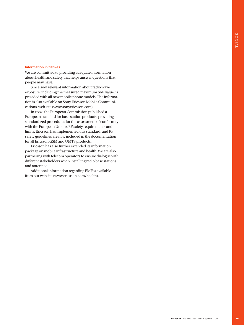#### **Information initiatives**

We are committed to providing adequate information about health and safety that helps answer questions that people may have.

Since 2001 relevant information about radio wave exposure, including the measured maximum SAR value, is provided with all new mobile phone models. The information is also available on Sony Ericsson Mobile Communications' web site (www.sonyericsson.com).

In 2002, the European Commission published a European standard for base station products, providing standardized procedures for the assessment of conformity with the European Union's RF safety requirements and limits. Ericsson has implemented this standard, and RF safety guidelines are now included in the documentation for all Ericsson GSM and UMTS products.

Ericsson has also further extended its information package on mobile infrastructure and health. We are also partnering with telecom operators to ensure dialogue with different stakeholders when installing radio base stations and antennae.

Additional information regarding EMF is available from our website (www.ericsson.com/health).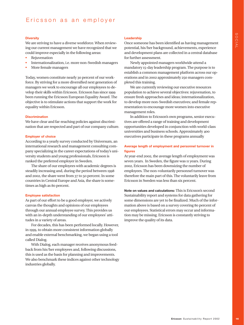#### **Diversity**

We are striving to have a diverse workforce. When reviewing our current management we have recognized that we could improve especially in the following areas:

- Rejuvenation
- Internationalization, i.e. more non-Swedish managers
- More female managers

Today, women constitute nearly 30 percent of our workforce. By striving for a more diversified next generation of managers we work to encourage all our employees to develop their skills within Ericsson. Ericsson has since 1999 been running the Ericsson European Equality Award. The objective is to stimulate actions that support the work for equality within Ericsson.

#### **Discrimination**

We have clear and far-reaching policies against discrimination that are respected and part of our company culture.

#### **Employer of choice**

According to a yearly survey conducted by Universum, an international research and management consulting company specializing in the career expectations of today's university students and young professionals, Ericsson is ranked the preferred employer in Sweden.

The share of our employees with academic degrees is steadily increasing and, during the period between 1998 and 2002, the share went from 37 to 50 percent. In some countries in Central Europe and Asia, the share is sometimes as high as 80 percent.

#### **Employee satisfaction**

As part of our effort to be a good employer, we actively canvas the thoughts and opinions of our employees through our annual employee survey. This provides us with an in-depth understanding of our employees' attitudes in a variety of areas.

For decades, this has been performed locally. However, in 1999, to obtain more consistent information globally and enable external benchmarking, we began using a tool called Dialog.

With Dialog, each manager receives anonymous feedback from his/her employees and, following discussions, this is used as the basis for planning and improvements. We also benchmark these indices against other technology industries globally.

#### **Leadership**

Once someone has been identified as having management potential, his/her background, achievements, experience and development plans are collected in a central database for further assessment.

Newly appointed managers worldwide attend a mandatory 15-day leadership program. The purpose is to establish a common management platform across our operations and in 2002 approximately 250 managers completed this training.

We are currently reviewing our executive resources population to achieve several objectives: rejuvenation, to ensure fresh approaches and ideas; internationalization, to develop more non-Swedish executives; and female representation to encourage more women into executive management roles.

In addition to Ericsson's own programs, senior executives are offered a range of training and development opportunities developed in conjunction with world-class universities and business schools. Approximately 400 executives participate in these programs annually

#### **Average length of employment and personnel turnover in figures**

At year-end 2002, the average length of employment was seven years. In Sweden, the figure was 11 years. During 2002, Ericsson has been downsizing the number of employees. The non-voluntarily personnel turnover was therefore the main part of this. The voluntarily leave from Ericsson in Sweden was less than six percent.

**Note on values and calculations:** This is Ericsson's second Sustainability report and systems for data gathering for some dimensions are yet to be finalized. Much of the information above is based on a survey covering 80 percent of our employees. Statistical errors may occur and information may be missing. Ericsson is constantly striving to improve the quality of its data.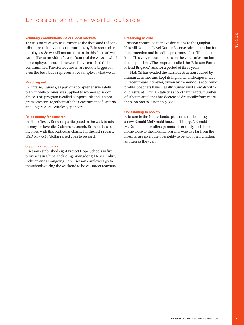### Ericsson and the world outside

#### **Voluntary contributions via our local markets**

There is no easy way to summarize the thousands of contributions to individual communities by Ericsson and its employees. So we will not attempt to do this. Instead we would like to provide a flavor of some of the ways in which our employees around the world have enriched their communities. The stories chosen are not the biggest or even the best, but a representative sample of what we do.

#### **Reaching out**

In Ontario, Canada, as part of a comprehensive safety plan, mobile phones are supplied to women at risk of abuse. This program is called SupportLink and is a program Ericsson, together with the Government of Ontario and Rogers AT&T Wireless, sponsors.

#### **Raise money for research**

In Plano, Texas, Ericsson participated in the walk to raise money for Juvenile Diabetes Research. Ericsson has been involved with this particular charity for the last 13 years. USD 0.85-0.87/dollar raised goes to research.

#### **Supporting education**

Ericsson established eight Project Hope Schools in five provinces in China, including Guangdong, Hebei, Anhui, Sichuan and Chongqing. Ten Ericsson employees go to the schools during the weekend to be volunteer teachers.

#### **Preserving wildlife**

Ericsson continued to make donations to the Qinghai Kekexili National Level Nature Reserve Administration for the protection and breeding programs of the Tibetan antelope. This very rare antelope is on the verge of extinction due to poachers. The program, called the 'Ericsson Earth-Friend Brigade,' runs for a period of three years.

Hoh Xil has evaded the harsh destruction caused by human activities and kept its highland landscapes intact. In recent years, however, driven by tremendous economic profits, poachers have illegally hunted wild animals without restraint. Official statistics show that the total number of Tibetan antelopes has decreased drastically from more than 100,000 to less than 50,000. **Example 18**<br> **Example 18**<br> **Example 18**<br> **Example 18**<br> **Example of example of example of example of example of example of example of example and the Tricsson Earth-<br>
<b>Example 18** and the Terics of Example 18<br> **Example 18** 

#### **Contributing to society**

Ericsson in the Netherlands sponsored the building of a new Ronald McDonald house in Tilburg. A Ronald McDonald house offers parents of seriously ill children a home close to the hospital. Parents who live far from the hospital are given the possibility to be with their children as often as they can.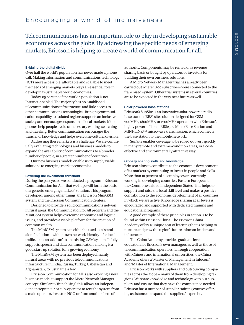### Encouraging a world of inclusiveness

Telecommunications has an important role to play in developing sustainable economies across the globe. By addressing the specific needs of emerging markets, Ericsson is helping to create a world of communication for all.

#### **Bridging the digital divide**

Over half the world's population has never made a phone call. Making information and communications technology (ICT) more accessible, affordable and scalable to meet the needs of emerging markets plays an essential role in developing sustainable world economies.

Today, 85 percent of the world's population is not Internet-enabled. The majority has no established telecommunications infrastructure and little access to other communications technologies. Bringing communication capability to isolated regions supports an inclusive society and encourages expansion of local markets. Mobile phones help people avoid unnecessary waiting, searching and traveling. Better communication encourages the transfer of knowledge and helps overcome cultural division.

Addressing these markets is a challenge. We are continually evaluating technologies and business models to expand the availability of communications to a broader number of people, in a greater number of countries.

Our new business models enable us to supply viable solutions to emerging market economies.

#### **Lowering the investment threshold**

During the past years, we conducted a program – Ericsson Communication for All – that we hope will form the basis of a generic 'emerging markets' solution. This program developed, among other things, the Ericsson MiniGSM system and the Ericsson Communication Centers.

Designed to provide a solid communications network in rural areas, the Communication for All program and the MiniGSM system helps overcome economic and logistic issues, and provides a viable platform for the creation of common wealth.

The MiniGSM system can either be used as a 'standalone' solution – with its own network identity – for local traffic, or as an 'add-on' to an existing GSM system. It fully supports speech and data communication, making it a good start-up solution for a growing economy.

The MiniGSM system has been deployed mainly in rural areas with no previous telecommunications infrastructure in India, Russia, Turkey, Uzbekistan and Afghanistan, to just name a few.

Ericsson Communication for All is also evolving a new business model to support the Micro Network Manager concept. Similar to 'franchising', this allows an independent entrepreneur or sub-operator to rent the system from a main operator, investor, NGO or from another form of

authority. Components may be rented on a revenuesharing basis or bought by operators or investors for building their own business solutions.

A Micro Network Manager trial has already been carried out where 1,300 subscribers were connected to the franchised system. Other trial systems in several countries are to be expected in the very near future as well.

#### **Solar powered base stations**

Ericsson's SunSite is an innovative solar-powered radio base station (RBS) site solution designed for GSM 900MHz, 1800MHz, or 1900MHz operation with Ericsson's highly power-efficient RBS2302 Micro Base Station and MINI-LINK™ microwave transmission, which connects the base station to the mobile network.

SunSite enables coverage to be rolled out very quickly in many remote and extreme-condition areas, in a costeffective and environmentally attractive way.

#### **Globally sharing skills and knowledge**

Ericsson aims to contribute to the economic development of its markets by continuing to invest in people and skills. More than 18 percent of all employees are currently working in developing countries, Eastern Europe and the Commonwealth of Independent States. This helps to support and raise the local skill level and makes a positive contribution to the economic development of all countries in which we are active. Knowledge sharing at all levels is encouraged and supported with dedicated training and educational programs.

A good example of these principles in action is to be found within Ericsson China. The Ericsson China Academy offers a unique seat of learning that is helping to nurture and grow the region's future infocom leaders and influencers.

The China Academy provides graduate level education for Ericsson's own managers as well as those of telecommunication operators. Through cooperation with Chinese and international universities, the China Academy offers a 'Master of Management in Infocom' and 'Master of International Management'.

Ericsson works with suppliers and outsourcing companies across the globe – many of them from developing regions. We share knowledge and technology with our suppliers and ensure that they have the competence needed. Ericsson has a number of supplier training courses offering assistance to expand the suppliers' expertise.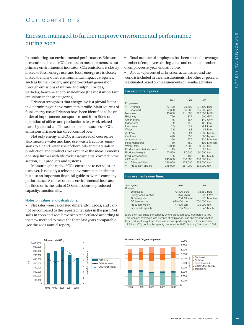### Our operations

### Ericsson managed to further improve environmental performance during 2002.

In monitoring our environmental performance, Ericsson uses carbon dioxide (CO2) emission measurements as our primary environmental indicator. CO2 emissions is closely linked to fossil energy use, and fossil energy use is closely linked to many other environmental impact categories, such as human toxicity and photo-oxidant generation through emissions of nitrous and sulphur oxides, particles, benzene and formaldehyde (the most important emissions in these categories).

Ericsson recognizes that energy use is a pivotal factor in determining our environmental profile. Main sources of fossil energy use at Ericsson have been identified to be (in order of importance): transports to and from Ericsson, operation of offices and production sites, work related travel by air and car. These are the main sources of CO2 emissions Ericsson has direct control over.

Not only energy and CO2 is measured of course, we also measure water and land use, waste fractions, emissions to air and water, use of chemicals and materials in production and products. We even take the measurements one step further with life cycle assessments, covered in the section, Our products and systems.

Measuring the ratio of CO2 emissions to net sales, or turnover, is not only a relevant environmental indicator, but also an important financial guide to overall company performance. A more concrete environmental indicator for Ericsson is the ratio of CO2 emissions to produced capacity/functionality.

#### **Notes on values and calculations:**

• Net sales were calculated differently in 2002, and cannot be compared to the reported net sales in the past. Net sales in 2000 and 2001 have been recalculated according to the new method to make the three last years comparable (see the 2002 annual report).



• Total number of employees has been set to the average number of employees during 2002, and not total number of employees at year-end as before.

• About 75 percent of all Ericsson activities around the world is included in the measurements. The other 25 percent is estimated based on measurements on similar activities

#### **Ericsson total figures**

|                             | 2002    | 2001    | 2000         |
|-----------------------------|---------|---------|--------------|
| Employees                   |         |         |              |
| Average                     | 73,400  | 95,400  | 101,500 pers |
| Year-end                    | 64,600  | 85 200  | 105,000 pers |
| Net sales                   | 146,000 | 211,000 | 222,000 MSEK |
| Electricity                 | 729     | 877     | 900 GWh      |
| Other energy                | 146     | 167     | 140 GWh      |
| Indoor area                 | 3,2     | 3,3     | 3,2 km2      |
| Land area                   | 5,5     | 5,2     | 6.4 km2      |
| Water                       | 2,5     | 2,8     | 3,4 Mton     |
| Air travel                  | 795     | 1 0 2 4 | 1,680 Mpkm   |
| Car travel                  | 470     | 550     | 680 Mpkm     |
| Air transports              | 256     | 275     | 330 Mtonkm   |
| Road transports             | 110     | 150     | 190 Mtonkm   |
| Waste, total                | 29,900  | 37,300  | 39,950 ton   |
| Production emissions, total | 15      | 27      | 28 ton       |
| Produced weight             | 77,500  | 87.500  | 130,500 ton  |
| Produced capacity           | 165     | 135     | 150 Msub     |
| CO2-total                   | 640,000 | 710,000 | 900,000 ton  |
| Office activities           | 386,000 | 424,000 | 565,000 ton  |
| Production and trp          | 248,000 | 287,000 | 335,000 ton  |

#### **Improvements over time:**

| <b>Total figures</b> | 2002        | 1997        |
|----------------------|-------------|-------------|
| Ericsson             |             |             |
| <b>Employees</b>     | 73,400 pers | 78,650 pers |
| Energy consumption   | 875 GWh     | 990 GWh     |
| Air transports       | 256 Mtonkm  | 375 Mtonkm  |
| CO2-emissions        | 630,000 ton | 700,000 ton |
| Produced weight      | 77,500 ton  | 125,000 ton |
| Produced capacity    | 165 Msub    | 40 Msub     |

More then four times the capacity where produced 2002 compared to 1997. This was achieved with less number of employees, less energy consumption, less produced weight and then less air transports required. Ericsson emitted 17.5 kton CO<sub>2</sub> per Msub capacity produced in 1997, but only 3.9 kton in 2002.

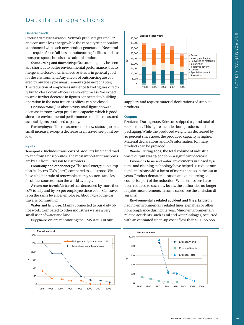### Details on operations

#### **General trends**

**Product dematerialization:** Network products get smaller and consume less energy while the capacity/functionality is enhanced with each new product generation. New products require first of all less manufacturing facilities and less transport space, but also less administration.

**Outsourcing and downsizing:** Outsourcing may be seen as a shortcut to better environmental performance, but to merge and close down ineffective sites is in general good for the environment. Any effects of outsourcing are covered by our life cycle measurements (see next chapter). The reduction of employees influence travel figures directly but to close down offices is a slower process. We expect to see a further decrease in figures connected to building operation in the near future as offices can be closed.

**Ericsson total:** Just about every total figure shows a decrease in 2002 except produced capacity, which is good since our environmental performance could be measured as: total figure/produced capacity.

**Per employee:** The measurements show status quo or a small increase, except a decrease in air travel, see point below.

#### **Inputs**

**Transports:** Includes transports of products by air and road to and from Ericsson sites. The most important transports are by air from Ericsson to customers.

**Electricity and other energy:** The total energy consumption fell by 170 GWh (-16%) compared to 2001/2000. We have a higher ratio of renewable energy sources (and less fossil fuel sources) than the world average.

**Air and car travel:** Air travel has decreased by more then 50% totally and by 1/3 per employee since 2000. Car travel is on the same level per employee. About 75% of the car travel is commuting.

**Water and land use:** Mainly connected to our daily office work. Compared to other industries we are a very small user of water and land.



**Suppliers:** We are monitoring the EMS status of our



suppliers and request material declarations of supplied products.

#### **Outputs**

**Products:** During 2002, Ericsson shipped a grand total of 77,500 tons. This figure includes both products and packaging. While the produced weight has decreased by 40 percent since 2000, the produced capacity is higher. Material declarations and LCA information for many products can be provided.

**Waste:** During 2002, the total volume of industrial waste output was 29,900 ton – a significant decrease.

**Emissions to air and water:** Investments in closed systems and cleaning technology have helped us reduce our total emissions with a factor of more then 100 in the last 10 years. Product dematerialization and outsourcing accounts for part of the reduction. When emissions have been reduced to such low levels, the authorities no longer require measurements in some cases (see the emission diagrams).

**Environmentally related accident and fines:** Ericsson had no environmentally related fines, penalties or other noncompliance during the year. Minor environmentally related accidents, such as oil and water leakages, occurred with an estimated clean-up cost of less than SEK 100,000.

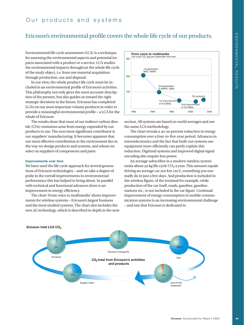### Our products and systems

### Ericsson's environmental profile covers the whole life cycle of our products.

Environmental life cycle assessment (LCA) is a technique for assessing the environmental aspects and potential impacts associated with a product or a service. LCA studies the environmental impacts throughout the whole life cycle of the study object, i.e. from raw material acquisition through production, use and disposal.

In our view, the whole product life cycle must be included in an environmental profile of Ericsson's activities. This philosophy not only gives the most accurate description of the present, but also guides us toward the right strategic decisions in the future. Ericsson has completed LCA's on our most important volume products in order to provide a meaningful environmental profile – a LCA for the whole of Ericsson.

The results show that most of our indirect carbon dioxide (CO2) emissions arise from energy expended by our products in use. The next most significant contributor is our suppliers' manufacturing. It becomes apparent that our most effective contribution to the environment lies in the way we design products and systems, and whom we select as suppliers of components and parts.

#### **Improvements over time**

We have used the life cycle approach for several generations of Ericsson technologies – and we take a degree of pride in the overall improvements in environmental performance this has helped to bring about. In parallel with technical and functional advances there is an improvement in energy efficiency.

The chart 'From voice to multimedia' shows improvements for wireless systems – Ericsson's largest business and the most studied systems. The chart also includes the new 3G technology, which is described in depth in the next



section. All systems are based on world averages and use the same LCA methodology.

The chart reveals a 40–50 percent reduction in energy consumption over a four-to-five-year period. Advances in microelectronics and the fact that built-out systems use equipment more efficiently can partly explain this reduction. Digitized systems and improved digital signal encoding also require less power.

An average subscriber in a modern wireless system emits about 50 kg life cycle  $CO<sub>2</sub>$  a year. This amount equals driving an average car 200 km (20 l), something you normally do in just a few days. And production is included in the wireless figure, of the terminal for example, while production of the car itself, roads, gasoline, gasoline stations etc., is not included in the car figure. Continual improvement of energy consumption in mobile communication systems is an increasing environmental challenge – and one that Ericsson is dedicated to.



#### Ericsson total LCA CO<sub>2</sub>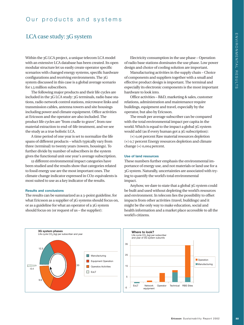### LCA case study: 3G system

Within the 3G LCA project, a unique telecom LCA model with an extensive LCA database has been created. Its open modular structure let us easily create operator specific scenarios with changed energy systems, specific hardware configurations and receiving environments. The 3G system discussed in this case is a global average scenario for 1.5 million subscribers.

The following major products and their life cycles are included in the 3G LCA study: 3G terminals, radio base stations, radio network control stations, microwave links and transmission cables, antenna towers and site housings including power and climate equipment. Office activities at Ericsson and the operator are also included. The product life cycles are "from cradle to grave", from raw material extraction to end-of-life treatment, and we see the study as a true holistic LCA.

A time period of one year is set to normalize the life spans of different products – which typically vary from three (terminal) to twenty years (towers, housings). To further divide by number of subscribers in the system gives the functional unit one year's average subscription.

12 different environmental impact categories have been studied and the results show that categories related to fossil energy use are the most important ones. The climate change indicator expressed in CO2-equivalents is most suited to use as a key indicator of the results.

#### **Results and conclusions**

The results can be summarized as a 3-point guideline, for what Ericsson as a supplier of 3G systems should focus on, or as a guideline for what an operator of a 3G system should focus on (or request of us – the supplier):

Electricity consumption in the use phase – Operation of radio base stations dominates the use phase. Low power design and choice of cooling solution are important.

Manufacturing activities in the supply chain – Choice of components and suppliers together with a small and effective product design is important. The terminal and especially its electronic components is the most important hardware to look into.

Office activities – R&D, marketing & sales, customer relations, administration and maintenance require buildings, equipment and travel, especially by the operator, but also by Ericsson.

The result per average subscriber can be compared with the total environmental impact per capita in the world. Which is equal to the impact a global 3G system would add (as if every human got a 3G subscription):

(+) 0,06 percent Raw material resources depletion (+) 0,7 percent Energy resources depletion and climate change (+) 0,004 percent.

#### **Use of land resources**

These numbers further emphasis the environmental importance of energy use, and not materials or land use for a 3G system. Naturally, uncertainties are associated with trying to quantify the world's total environmental impact.

Anyhow, we dare to state that a global 3G system could be built and used without depleting the world's resources and environment. In telecom lies the possibility to offset impacts from other activities (travel, buildings) and it might be the only way to make education, social and health information and a market place accessible to all the world's citizens.

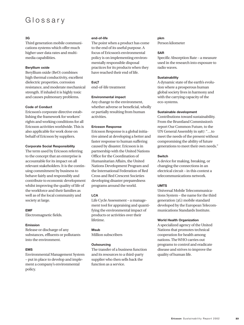## Glossary

#### **3G**

Third generation mobile communications systems which offer much higher user data rates and multimedia capabilities.

#### **Beryllium oxide**

Beryllium oxide (BeO) combines high thermal conductivity, excellent dielectric properties, corrosion resistance, and moderate mechanical strength. If inhaled it is highly toxic and causes pulmonary problems.

#### **Code of Conduct**

Ericsson's corporate directive establishing the framework for workers' rights and working conditions for all Ericsson activities worldwide. This is also applicable for work done on behalf of Ericsson by suppliers.

#### **Corporate Social Responsibility**

The term used by Ericsson referring to the concept that an enterprise is accountable for its impact on all relevant stakeholders. It is the continuing commitment by business to behave fairly and responsibly and contribute to economic development whilst improving the quality of life of the workforce and their families as well as of the local community and society at large.

#### **EMF**

Electromagnetic fields.

#### **Emission**

Release or discharge of any substances, effluents or pollutants into the environment.

#### **EMS**

Environmental Management System – put in place to develop and implement a company's environmental policy.

#### **end-of-life**

The point when a product has come to the end of its useful purpose. A focus of Ericsson's environmental policy is on implementing environmentally responsible disposal practices for its products when they have reached their end of life.

**EoLT** end-of-life treatment

#### **Environmental impact**

Any change to the environment, whether adverse or beneficial, wholly or partially resulting from human activities.

#### **Ericsson Response**

Ericsson Response is a global initiative aimed at developing a better and faster response to human suffering caused by disaster. Ericsson is in partnership with the United Nations Office for the Coordination of Humanitarian Affairs, the United Nations Development Program and the International Federation of Red Cross and Red Crescent Societies developing disaster preparedness programs around the world.

#### **LCA**

Life Cycle Assessment – a management tool for appraising and quantifying the environmental impact of products or activities over their lifetime.

#### **Msub**

Million subscribers

#### **Outsourcing**

The transfer of a business function and its resources to a third-party supplier who then sells back the function as a service.

#### **pkm**

Person kilometer

#### **SAR**

Specific Absorption Rate – a measure used in the research into exposure to radio waves.

#### **Sustainability**

A dynamic state of the earth's evolution where a prosperous human global society lives in harmony and with the carrying capacity of the eco-systems.

#### **Sustainable development**

Contributions toward sustainability. From the Bruntland Commission's report Our Common Future, to the UN General Assembly in 1987: "…to meet the needs of the present without compromising the ability of future generations to meet their own needs."

#### **Switch**

A device for making, breaking, or changing the connections in an electrical circuit – in this context a telecommunications network.

#### **UMTS**

Universal Mobile Telecommunications System – the name for the third generation (3G) mobile standard developed by the European Telecommunications Standards Institute.

#### **World Health Organization**

A specialized agency of the United Nations that promotes technical cooperation for health among nations. The WHO carries out programs to control and eradicate disease and strives to improve the quality of human life.